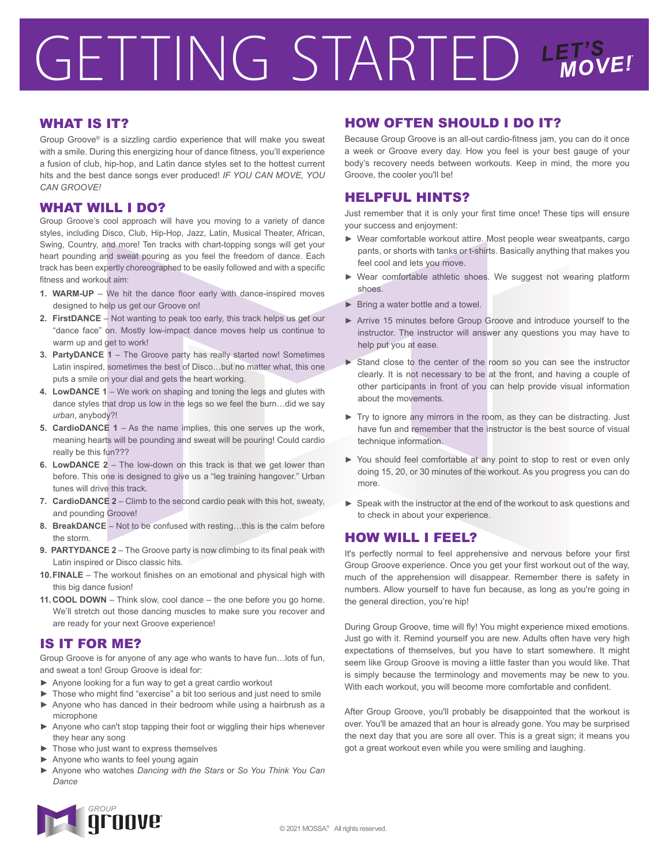# GETTING STARTED LET'S

## WHAT IS IT?

Group Groove® is a sizzling cardio experience that will make you sweat with a smile. During this energizing hour of dance fitness, you'll experience a fusion of club, hip-hop, and Latin dance styles set to the hottest current hits and the best dance songs ever produced! *IF YOU CAN MOVE, YOU CAN GROOVE!*

#### WHAT WILL I DO?

Group Groove's cool approach will have you moving to a variety of dance styles, including Disco, Club, Hip-Hop, Jazz, Latin, Musical Theater, African, Swing, Country, and more! Ten tracks with chart-topping songs will get your heart pounding and sweat pouring as you feel the freedom of dance. Each track has been expertly choreographed to be easily followed and with a specific fitness and workout aim:

- **1. WARM-UP** We hit the dance floor early with dance-inspired moves designed to help us get our Groove on!
- **2. FirstDANCE** Not wanting to peak too early, this track helps us get our "dance face" on. Mostly low-impact dance moves help us continue to warm up and get to work!
- **3. PartyDANCE 1** The Groove party has really started now! Sometimes Latin inspired, sometimes the best of Disco…but no matter what, this one puts a smile on your dial and gets the heart working.
- **4. LowDANCE 1** We work on shaping and toning the legs and glutes with dance styles that drop us low in the legs so we feel the burn…did we say *urban*, anybody?!
- **5. CardioDANCE 1** As the name implies, this one serves up the work, meaning hearts will be pounding and sweat will be pouring! Could cardio really be this fun???
- **6. LowDANCE 2** The low-down on this track is that we get lower than before. This one is designed to give us a "leg training hangover." Urban tunes will drive this track.
- **7. CardioDANCE 2** Climb to the second cardio peak with this hot, sweaty, and pounding Groove!
- **8. BreakDANCE** Not to be confused with resting…this is the calm before the storm.
- **9. PARTYDANCE 2** The Groove party is now climbing to its final peak with Latin inspired or Disco classic hits.
- **10. FINALE** The workout finishes on an emotional and physical high with this big dance fusion!
- **11. COOL DOWN** Think slow, cool dance the one before you go home. We'll stretch out those dancing muscles to make sure you recover and are ready for your next Groove experience!

## IS IT FOR ME?

Group Groove is for anyone of any age who wants to have fun…lots of fun, and sweat a ton! Group Groove is ideal for:

- ► Anyone looking for a fun way to get a great cardio workout
- ► Those who might find "exercise" a bit too serious and just need to smile ► Anyone who has danced in their bedroom while using a hairbrush as a
- microphone ▶ Anyone who can't stop tapping their foot or wiggling their hips whenever they hear any song
- Those who just want to express themselves
- Anyone who wants to feel young again
- ► Anyone who watches *Dancing with the Stars* or *So You Think You Can Dance*

# HOW OFTEN SHOULD I DO IT?

Because Group Groove is an all-out cardio-fitness jam, you can do it once a week or Groove every day. How you feel is your best gauge of your body's recovery needs between workouts. Keep in mind, the more you Groove, the cooler you'll be!

#### HELPFUL HINTS?

Just remember that it is only your first time once! These tips will ensure your success and enjoyment:

- ► Wear comfortable workout attire. Most people wear sweatpants, cargo pants, or shorts with tanks or t-shirts. Basically anything that makes you feel cool and lets you move.
- ► Wear comfortable athletic shoes. We suggest not wearing platform shoes.
- ► Bring a water bottle and a towel.
- ► Arrive 15 minutes before Group Groove and introduce yourself to the instructor. The instructor will answer any questions you may have to help put you at ease.
- ► Stand close to the center of the room so you can see the instructor clearly. It is not necessary to be at the front, and having a couple of other participants in front of you can help provide visual information about the movements.
- ► Try to ignore any mirrors in the room, as they can be distracting. Just have fun and remember that the instructor is the best source of visual technique information.
- ► You should feel comfortable at any point to stop to rest or even only doing 15, 20, or 30 minutes of the workout. As you progress you can do more.
- ► Speak with the instructor at the end of the workout to ask questions and to check in about your experience.

#### HOW WILL I FEEL?

It's perfectly normal to feel apprehensive and nervous before your first Group Groove experience. Once you get your first workout out of the way, much of the apprehension will disappear. Remember there is safety in numbers. Allow yourself to have fun because, as long as you're going in the general direction, you're hip!

During Group Groove, time will fly! You might experience mixed emotions. Just go with it. Remind yourself you are new. Adults often have very high expectations of themselves, but you have to start somewhere. It might seem like Group Groove is moving a little faster than you would like. That is simply because the terminology and movements may be new to you. With each workout, you will become more comfortable and confident.

After Group Groove, you'll probably be disappointed that the workout is over. You'll be amazed that an hour is already gone. You may be surprised the next day that you are sore all over. This is a great sign; it means you got a great workout even while you were smiling and laughing.